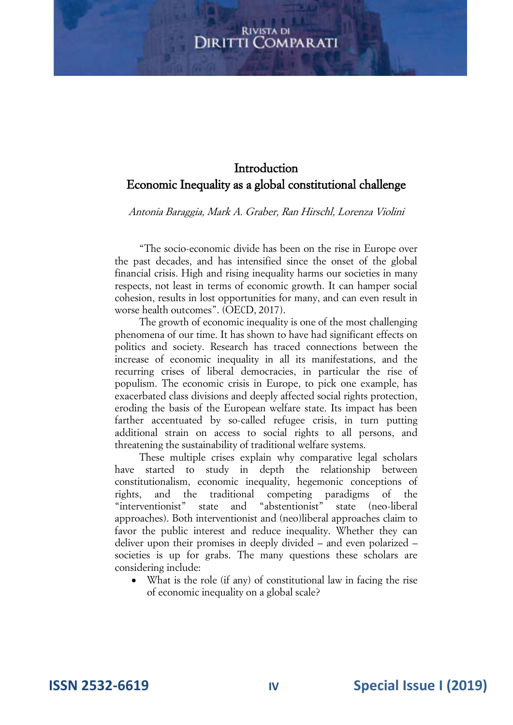#### **RIVISTA DI** Diritti ( **COMPARATI**

# Introduction Economic Inequality as a global constitutional challenge

Antonia Baraggia, Mark A. Graber, Ran Hirschl, Lorenza Violini

"The socio-economic divide has been on the rise in Europe over the past decades, and has intensified since the onset of the global financial crisis. High and rising inequality harms our societies in many respects, not least in terms of economic growth. It can hamper social cohesion, results in lost opportunities for many, and can even result in worse health outcomes". (OECD, 2017).

The growth of economic inequality is one of the most challenging phenomena of our time. It has shown to have had significant effects on politics and society. Research has traced connections between the increase of economic inequality in all its manifestations, and the recurring crises of liberal democracies, in particular the rise of populism. The economic crisis in Europe, to pick one example, has exacerbated class divisions and deeply affected social rights protection, eroding the basis of the European welfare state. Its impact has been farther accentuated by so-called refugee crisis, in turn putting additional strain on access to social rights to all persons, and threatening the sustainability of traditional welfare systems.

These multiple crises explain why comparative legal scholars have started to study in depth the relationship between constitutionalism, economic inequality, hegemonic conceptions of rights, and the traditional competing paradigms of the "interventionist" state and "abstentionist" state (neo-liberal approaches). Both interventionist and (neo)liberal approaches claim to favor the public interest and reduce inequality. Whether they can deliver upon their promises in deeply divided – and even polarized – societies is up for grabs. The many questions these scholars are considering include:

 What is the role (if any) of constitutional law in facing the rise of economic inequality on a global scale?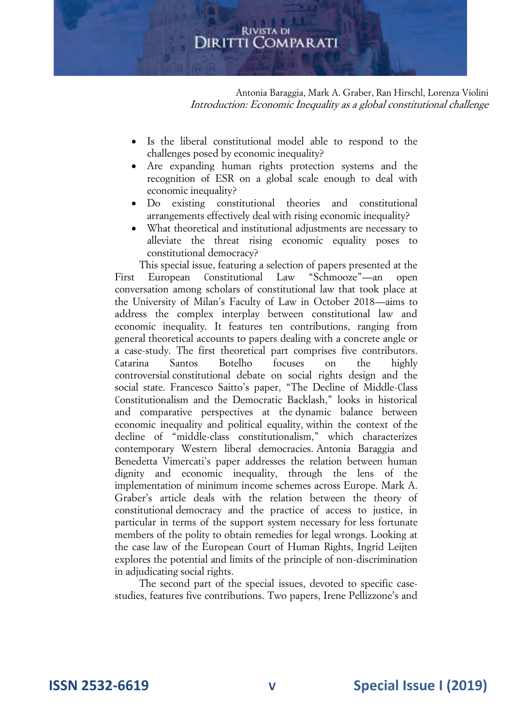### **RIVISTA DI** Diritti Comparati

#### Antonia Baraggia, Mark A. Graber, Ran Hirschl, Lorenza Violini Introduction: Economic Inequality as a global constitutional challenge

- Is the liberal constitutional model able to respond to the challenges posed by economic inequality?
- Are expanding human rights protection systems and the recognition of ESR on a global scale enough to deal with economic inequality?
- Do existing constitutional theories and constitutional arrangements effectively deal with rising economic inequality?
- What theoretical and institutional adjustments are necessary to alleviate the threat rising economic equality poses to constitutional democracy?

This special issue, featuring a selection of papers presented at the First European Constitutional Law "Schmooze"—an open conversation among scholars of constitutional law that took place at the University of Milan's Faculty of Law in October 2018—aims to address the complex interplay between constitutional law and economic inequality. It features ten contributions, ranging from general theoretical accounts to papers dealing with a concrete angle or a case-study. The first theoretical part comprises five contributors. Catarina Santos Botelho focuses on the highly controversial constitutional debate on social rights design and the social state. Francesco Saitto's paper, "The Decline of Middle-Class Constitutionalism and the Democratic Backlash," looks in historical and comparative perspectives at the dynamic balance between economic inequality and political equality, within the context of the decline of "middle-class constitutionalism," which characterizes contemporary Western liberal democracies. Antonia Baraggia and Benedetta Vimercati's paper addresses the relation between human dignity and economic inequality, through the lens of the implementation of minimum income schemes across Europe. Mark A. Graber's article deals with the relation between the theory of constitutional democracy and the practice of access to justice, in particular in terms of the support system necessary for less fortunate members of the polity to obtain remedies for legal wrongs. Looking at the case law of the European Court of Human Rights, Ingrid Leijten explores the potential and limits of the principle of non-discrimination in adjudicating social rights.

The second part of the special issues, devoted to specific casestudies, features five contributions. Two papers, Irene Pellizzone's and